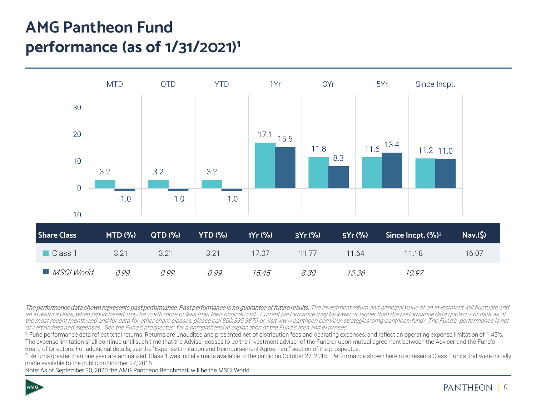# **AMG Pantheon Fund performance (as of 1/31/2021)1**



The performance data shown represents past performance. Past performance is no quarantee of future results. The investment return and principal value of an investment will fluctuate and an investor's Units, when repurchased, may be worth more or less than their original cost. Current performance may be lower or higher than the performance data quoted. For data as of the most recent month-end and for data for other share classes, please call 800.835.3879 or visit www.pantheon.com/our-strategies/amg-pantheon-fund/. The Fund's performance is net of certain fees and expenses. See the Fund's prospectus for a comprehensive explanation of the Fund's fees and expenses.

1. Fund performance data reflect total returns. Returns are unaudited and presented net of distribution fees and operating expenses, and reflect an operating expense limitation of 1.45%. The expense limitation shall continue until such time that the Adviser ceases to be the investment adviser of the Fund or upon mutual agreement between the Adviser and the Fund's Board of Directors. For additional details, see the "Expense Limitation and Reimbursement Agreement" section of the prospectus.

<sup>2</sup>. Returns greater than one year are annualized. Class 1 was initially made available to the public on October 27, 2015. Performance shown herein represents Class 1 units that were initially made available to the public on October 27, 2015.

Note: As of September 30, 2020 the AMG Pantheon Benchmark will be the MSCI World

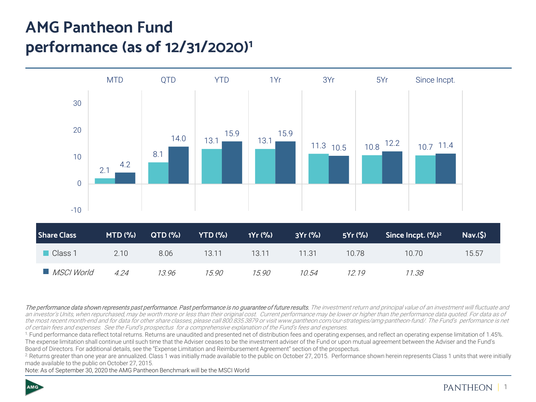# **AMG Pantheon Fund performance (as of 12/31/2020)1**



The performance data shown represents past performance. Past performance is no quarantee of future results. The investment return and principal value of an investment will fluctuate and an investor's Units, when repurchased, may be worth more or less than their original cost. Current performance may be lower or higher than the performance data quoted. For data as of the most recent month-end and for data for other share classes, please call 800.835.3879 or visit www.pantheon.com/our-strategies/amg-pantheon-fund/. The Fund's performance is net of certain fees and expenses. See the Fund's prospectus for a comprehensive explanation of the Fund's fees and expenses.

1. Fund performance data reflect total returns. Returns are unaudited and presented net of distribution fees and operating expenses, and reflect an operating expense limitation of 1.45%. The expense limitation shall continue until such time that the Adviser ceases to be the investment adviser of the Fund or upon mutual agreement between the Adviser and the Fund's Board of Directors. For additional details, see the "Expense Limitation and Reimbursement Agreement" section of the prospectus.

<sup>2</sup>. Returns greater than one year are annualized. Class 1 was initially made available to the public on October 27, 2015. Performance shown herein represents Class 1 units that were initially made available to the public on October 27, 2015.

Note: As of September 30, 2020 the AMG Pantheon Benchmark will be the MSCI World

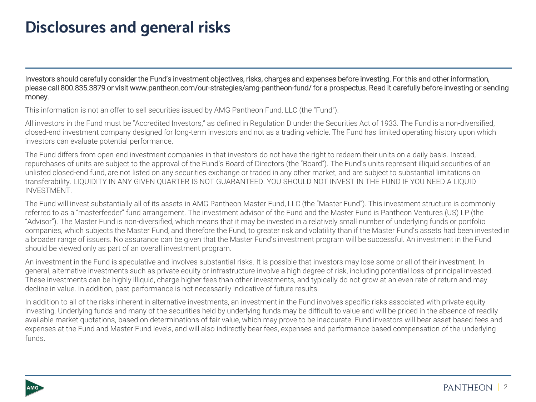## **Disclosures and general risks**

Investors should carefully consider the Fund's investment objectives, risks, charges and expenses before investing. For this and other information, please call 800.835.3879 or visit www.pantheon.com/our-strategies/amg-pantheon-fund/ for a prospectus. Read it carefully before investing or sending money.

This information is not an offer to sell securities issued by AMG Pantheon Fund, LLC (the "Fund").

All investors in the Fund must be "Accredited Investors," as defined in Regulation D under the Securities Act of 1933. The Fund is a non-diversified, closed-end investment company designed for long-term investors and not as a trading vehicle. The Fund has limited operating history upon which investors can evaluate potential performance.

The Fund differs from open-end investment companies in that investors do not have the right to redeem their units on a daily basis. Instead, repurchases of units are subject to the approval of the Fund's Board of Directors (the "Board"). The Fund's units represent illiquid securities of an unlisted closed-end fund, are not listed on any securities exchange or traded in any other market, and are subject to substantial limitations on transferability. LIQUIDITY IN ANY GIVEN QUARTER IS NOT GUARANTEED. YOU SHOULD NOT INVEST IN THE FUND IF YOU NEED A LIQUID INVESTMENT.

The Fund will invest substantially all of its assets in AMG Pantheon Master Fund, LLC (the "Master Fund"). This investment structure is commonly referred to as a "masterfeeder" fund arrangement. The investment advisor of the Fund and the Master Fund is Pantheon Ventures (US) LP (the "Advisor"). The Master Fund is non-diversified, which means that it may be invested in a relatively small number of underlying funds or portfolio companies, which subjects the Master Fund, and therefore the Fund, to greater risk and volatility than if the Master Fund's assets had been invested in a broader range of issuers. No assurance can be given that the Master Fund's investment program will be successful. An investment in the Fund should be viewed only as part of an overall investment program.

An investment in the Fund is speculative and involves substantial risks. It is possible that investors may lose some or all of their investment. In general, alternative investments such as private equity or infrastructure involve a high degree of risk, including potential loss of principal invested. These investments can be highly illiquid, charge higher fees than other investments, and typically do not grow at an even rate of return and may decline in value. In addition, past performance is not necessarily indicative of future results.

In addition to all of the risks inherent in alternative investments, an investment in the Fund involves specific risks associated with private equity investing. Underlying funds and many of the securities held by underlying funds may be difficult to value and will be priced in the absence of readily available market quotations, based on determinations of fair value, which may prove to be inaccurate. Fund investors will bear asset-based fees and expenses at the Fund and Master Fund levels, and will also indirectly bear fees, expenses and performance-based compensation of the underlying funds.



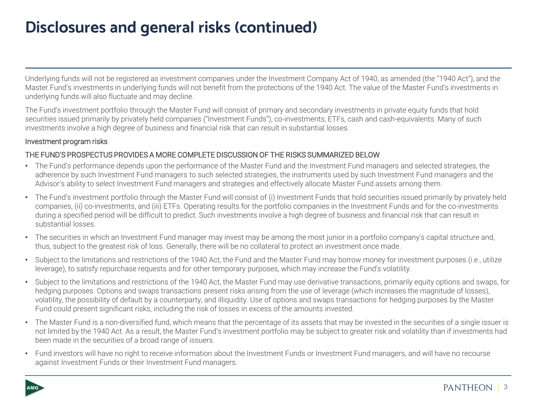# **Disclosures and general risks (continued)**

Underlying funds will not be registered as investment companies under the Investment Company Act of 1940, as amended (the "1940 Act"), and the Master Fund's investments in underlying funds will not benefit from the protections of the 1940 Act. The value of the Master Fund's investments in underlying funds will also fluctuate and may decline.

The Fund's investment portfolio through the Master Fund will consist of primary and secondary investments in private equity funds that hold securities issued primarily by privately held companies ("Investment Funds"), co-investments, ETFs, cash and cash-equivalents. Many of such investments involve a high degree of business and financial risk that can result in substantial losses.

#### Investment program risks

#### THE FUND'S PROSPECTUS PROVIDES A MORE COMPLETE DISCUSSION OF THE RISKS SUMMARIZED BELOW

- The Fund's performance depends upon the performance of the Master Fund and the Investment Fund managers and selected strategies, the adherence by such Investment Fund managers to such selected strategies, the instruments used by such Investment Fund managers and the Advisor's ability to select Investment Fund managers and strategies and effectively allocate Master Fund assets among them.
- The Fund's investment portfolio through the Master Fund will consist of (i) Investment Funds that hold securities issued primarily by privately held companies, (ii) co-investments, and (iii) ETFs. Operating results for the portfolio companies in the Investment Funds and for the co-investments during a specified period will be difficult to predict. Such investments involve a high degree of business and financial risk that can result in substantial losses.
- The securities in which an Investment Fund manager may invest may be among the most junior in a portfolio company's capital structure and, thus, subject to the greatest risk of loss. Generally, there will be no collateral to protect an investment once made.
- Subject to the limitations and restrictions of the 1940 Act, the Fund and the Master Fund may borrow money for investment purposes (i.e., utilize leverage), to satisfy repurchase requests and for other temporary purposes, which may increase the Fund's volatility.
- Subject to the limitations and restrictions of the 1940 Act, the Master Fund may use derivative transactions, primarily equity options and swaps, for hedging purposes. Options and swaps transactions present risks arising from the use of leverage (which increases the magnitude of losses), volatility, the possibility of default by a counterparty, and illiquidity. Use of options and swaps transactions for hedging purposes by the Master Fund could present significant risks, including the risk of losses in excess of the amounts invested.
- The Master Fund is a non-diversified fund, which means that the percentage of its assets that may be invested in the securities of a single issuer is not limited by the 1940 Act. As a result, the Master Fund's investment portfolio may be subject to greater risk and volatility than if investments had been made in the securities of a broad range of issuers.
- Fund investors will have no right to receive information about the Investment Funds or Investment Fund managers, and will have no recourse against Investment Funds or their Investment Fund managers.

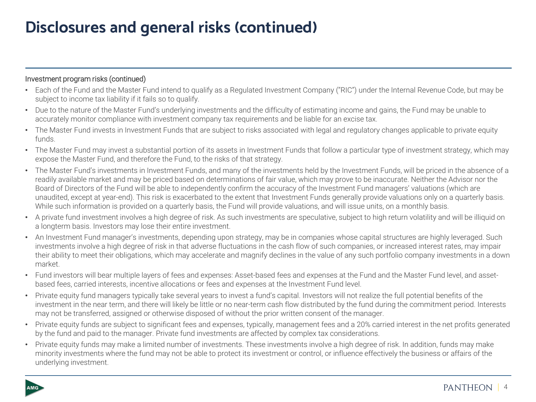## **Disclosures and general risks (continued)**

#### Investment program risks (continued)

- Each of the Fund and the Master Fund intend to qualify as a Regulated Investment Company ("RIC") under the Internal Revenue Code, but may be subject to income tax liability if it fails so to qualify.
- Due to the nature of the Master Fund's underlying investments and the difficulty of estimating income and gains, the Fund may be unable to accurately monitor compliance with investment company tax requirements and be liable for an excise tax.
- The Master Fund invests in Investment Funds that are subject to risks associated with legal and regulatory changes applicable to private equity funds.
- The Master Fund may invest a substantial portion of its assets in Investment Funds that follow a particular type of investment strategy, which may expose the Master Fund, and therefore the Fund, to the risks of that strategy.
- The Master Fund's investments in Investment Funds, and many of the investments held by the Investment Funds, will be priced in the absence of a readily available market and may be priced based on determinations of fair value, which may prove to be inaccurate. Neither the Advisor nor the Board of Directors of the Fund will be able to independently confirm the accuracy of the Investment Fund managers' valuations (which are unaudited, except at year-end). This risk is exacerbated to the extent that Investment Funds generally provide valuations only on a quarterly basis. While such information is provided on a quarterly basis, the Fund will provide valuations, and will issue units, on a monthly basis.
- A private fund investment involves a high degree of risk. As such investments are speculative, subject to high return volatility and will be illiquid on a longterm basis. Investors may lose their entire investment.
- An Investment Fund manager's investments, depending upon strategy, may be in companies whose capital structures are highly leveraged. Such investments involve a high degree of risk in that adverse fluctuations in the cash flow of such companies, or increased interest rates, may impair their ability to meet their obligations, which may accelerate and magnify declines in the value of any such portfolio company investments in a down market.
- Fund investors will bear multiple layers of fees and expenses: Asset-based fees and expenses at the Fund and the Master Fund level, and assetbased fees, carried interests, incentive allocations or fees and expenses at the Investment Fund level.
- Private equity fund managers typically take several years to invest a fund's capital. Investors will not realize the full potential benefits of the investment in the near term, and there will likely be little or no near-term cash flow distributed by the fund during the commitment period. Interests may not be transferred, assigned or otherwise disposed of without the prior written consent of the manager.
- Private equity funds are subject to significant fees and expenses, typically, management fees and a 20% carried interest in the net profits generated by the fund and paid to the manager. Private fund investments are affected by complex tax considerations.
- Private equity funds may make a limited number of investments. These investments involve a high degree of risk. In addition, funds may make minority investments where the fund may not be able to protect its investment or control, or influence effectively the business or affairs of the underlying investment.